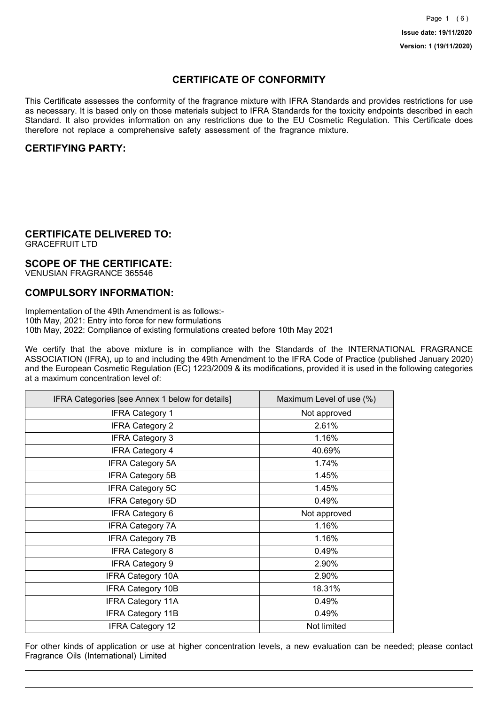## **CERTIFICATE OF CONFORMITY**

This Certificate assesses the conformity of the fragrance mixture with IFRA Standards and provides restrictions for use as necessary. It is based only on those materials subject to IFRA Standards for the toxicity endpoints described in each Standard. It also provides information on any restrictions due to the EU Cosmetic Regulation. This Certificate does therefore not replace a comprehensive safety assessment of the fragrance mixture.

## **CERTIFYING PARTY:**

## **CERTIFICATE DELIVERED TO:**

GRACEFRUIT LTD

### **SCOPE OF THE CERTIFICATE:**

VENUSIAN FRAGRANCE 365546

## **COMPULSORY INFORMATION:**

Implementation of the 49th Amendment is as follows:- 10th May, 2021: Entry into force for new formulations 10th May, 2022: Compliance of existing formulations created before 10th May 2021

We certify that the above mixture is in compliance with the Standards of the INTERNATIONAL FRAGRANCE ASSOCIATION (IFRA), up to and including the 49th Amendment to the IFRA Code of Practice (published January 2020) and the European Cosmetic Regulation (EC) 1223/2009 & its modifications, provided it is used in the following categories at a maximum concentration level of:

| IFRA Categories [see Annex 1 below for details] | Maximum Level of use (%) |
|-------------------------------------------------|--------------------------|
| <b>IFRA Category 1</b>                          | Not approved             |
| <b>IFRA Category 2</b>                          | 2.61%                    |
| <b>IFRA Category 3</b>                          | 1.16%                    |
| <b>IFRA Category 4</b>                          | 40.69%                   |
| <b>IFRA Category 5A</b>                         | 1.74%                    |
| <b>IFRA Category 5B</b>                         | 1.45%                    |
| <b>IFRA Category 5C</b>                         | 1.45%                    |
| <b>IFRA Category 5D</b>                         | 0.49%                    |
| <b>IFRA Category 6</b>                          | Not approved             |
| <b>IFRA Category 7A</b>                         | 1.16%                    |
| <b>IFRA Category 7B</b>                         | 1.16%                    |
| <b>IFRA Category 8</b>                          | 0.49%                    |
| <b>IFRA Category 9</b>                          | 2.90%                    |
| <b>IFRA Category 10A</b>                        | 2.90%                    |
| <b>IFRA Category 10B</b>                        | 18.31%                   |
| <b>IFRA Category 11A</b>                        | 0.49%                    |
| <b>IFRA Category 11B</b>                        | 0.49%                    |
| <b>IFRA Category 12</b>                         | Not limited              |

For other kinds of application or use at higher concentration levels, a new evaluation can be needed; please contact Fragrance Oils (International) Limited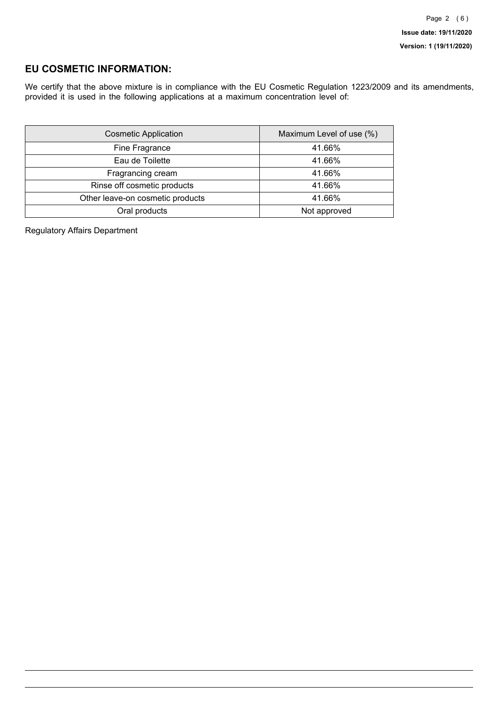## **EU COSMETIC INFORMATION:**

We certify that the above mixture is in compliance with the EU Cosmetic Regulation 1223/2009 and its amendments, provided it is used in the following applications at a maximum concentration level of:

| <b>Cosmetic Application</b>      | Maximum Level of use (%) |
|----------------------------------|--------------------------|
| Fine Fragrance                   | 41.66%                   |
| Eau de Toilette                  | 41.66%                   |
| Fragrancing cream                | 41.66%                   |
| Rinse off cosmetic products      | 41.66%                   |
| Other leave-on cosmetic products | 41.66%                   |
| Oral products                    | Not approved             |

Regulatory Affairs Department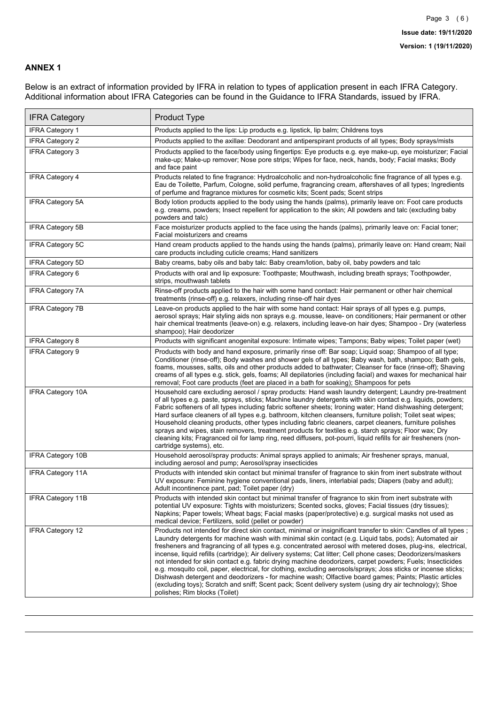### **ANNEX 1**

Below is an extract of information provided by IFRA in relation to types of application present in each IFRA Category. Additional information about IFRA Categories can be found in the Guidance to IFRA Standards, issued by IFRA.

| <b>IFRA Category</b>     | Product Type                                                                                                                                                                                                                                                                                                                                                                                                                                                                                                                                                                                                                                                                                                                                                                                                                                                                                                                                 |
|--------------------------|----------------------------------------------------------------------------------------------------------------------------------------------------------------------------------------------------------------------------------------------------------------------------------------------------------------------------------------------------------------------------------------------------------------------------------------------------------------------------------------------------------------------------------------------------------------------------------------------------------------------------------------------------------------------------------------------------------------------------------------------------------------------------------------------------------------------------------------------------------------------------------------------------------------------------------------------|
| IFRA Category 1          | Products applied to the lips: Lip products e.g. lipstick, lip balm; Childrens toys                                                                                                                                                                                                                                                                                                                                                                                                                                                                                                                                                                                                                                                                                                                                                                                                                                                           |
| <b>IFRA Category 2</b>   | Products applied to the axillae: Deodorant and antiperspirant products of all types; Body sprays/mists                                                                                                                                                                                                                                                                                                                                                                                                                                                                                                                                                                                                                                                                                                                                                                                                                                       |
| <b>IFRA Category 3</b>   | Products applied to the face/body using fingertips: Eye products e.g. eye make-up, eye moisturizer; Facial<br>make-up; Make-up remover; Nose pore strips; Wipes for face, neck, hands, body; Facial masks; Body<br>and face paint                                                                                                                                                                                                                                                                                                                                                                                                                                                                                                                                                                                                                                                                                                            |
| <b>IFRA Category 4</b>   | Products related to fine fragrance: Hydroalcoholic and non-hydroalcoholic fine fragrance of all types e.g.<br>Eau de Toilette, Parfum, Cologne, solid perfume, fragrancing cream, aftershaves of all types; Ingredients<br>of perfume and fragrance mixtures for cosmetic kits; Scent pads; Scent strips                                                                                                                                                                                                                                                                                                                                                                                                                                                                                                                                                                                                                                     |
| IFRA Category 5A         | Body lotion products applied to the body using the hands (palms), primarily leave on: Foot care products<br>e.g. creams, powders; Insect repellent for application to the skin; All powders and talc (excluding baby<br>powders and talc)                                                                                                                                                                                                                                                                                                                                                                                                                                                                                                                                                                                                                                                                                                    |
| <b>IFRA Category 5B</b>  | Face moisturizer products applied to the face using the hands (palms), primarily leave on: Facial toner;<br>Facial moisturizers and creams                                                                                                                                                                                                                                                                                                                                                                                                                                                                                                                                                                                                                                                                                                                                                                                                   |
| <b>IFRA Category 5C</b>  | Hand cream products applied to the hands using the hands (palms), primarily leave on: Hand cream; Nail<br>care products including cuticle creams; Hand sanitizers                                                                                                                                                                                                                                                                                                                                                                                                                                                                                                                                                                                                                                                                                                                                                                            |
| <b>IFRA Category 5D</b>  | Baby creams, baby oils and baby talc: Baby cream/lotion, baby oil, baby powders and talc                                                                                                                                                                                                                                                                                                                                                                                                                                                                                                                                                                                                                                                                                                                                                                                                                                                     |
| IFRA Category 6          | Products with oral and lip exposure: Toothpaste; Mouthwash, including breath sprays; Toothpowder,<br>strips, mouthwash tablets                                                                                                                                                                                                                                                                                                                                                                                                                                                                                                                                                                                                                                                                                                                                                                                                               |
| <b>IFRA Category 7A</b>  | Rinse-off products applied to the hair with some hand contact: Hair permanent or other hair chemical<br>treatments (rinse-off) e.g. relaxers, including rinse-off hair dyes                                                                                                                                                                                                                                                                                                                                                                                                                                                                                                                                                                                                                                                                                                                                                                  |
| <b>IFRA Category 7B</b>  | Leave-on products applied to the hair with some hand contact: Hair sprays of all types e.g. pumps,<br>aerosol sprays; Hair styling aids non sprays e.g. mousse, leave- on conditioners; Hair permanent or other<br>hair chemical treatments (leave-on) e.g. relaxers, including leave-on hair dyes; Shampoo - Dry (waterless<br>shampoo); Hair deodorizer                                                                                                                                                                                                                                                                                                                                                                                                                                                                                                                                                                                    |
| <b>IFRA Category 8</b>   | Products with significant anogenital exposure: Intimate wipes; Tampons; Baby wipes; Toilet paper (wet)                                                                                                                                                                                                                                                                                                                                                                                                                                                                                                                                                                                                                                                                                                                                                                                                                                       |
| IFRA Category 9          | Products with body and hand exposure, primarily rinse off: Bar soap; Liquid soap; Shampoo of all type;<br>Conditioner (rinse-off); Body washes and shower gels of all types; Baby wash, bath, shampoo; Bath gels,<br>foams, mousses, salts, oils and other products added to bathwater; Cleanser for face (rinse-off); Shaving<br>creams of all types e.g. stick, gels, foams; All depilatories (including facial) and waxes for mechanical hair<br>removal; Foot care products (feet are placed in a bath for soaking); Shampoos for pets                                                                                                                                                                                                                                                                                                                                                                                                   |
| <b>IFRA Category 10A</b> | Household care excluding aerosol / spray products: Hand wash laundry detergent; Laundry pre-treatment<br>of all types e.g. paste, sprays, sticks; Machine laundry detergents with skin contact e.g. liquids, powders;<br>Fabric softeners of all types including fabric softener sheets; Ironing water; Hand dishwashing detergent;<br>Hard surface cleaners of all types e.g. bathroom, kitchen cleansers, furniture polish; Toilet seat wipes;<br>Household cleaning products, other types including fabric cleaners, carpet cleaners, furniture polishes<br>sprays and wipes, stain removers, treatment products for textiles e.g. starch sprays; Floor wax; Dry<br>cleaning kits; Fragranced oil for lamp ring, reed diffusers, pot-pourri, liquid refills for air fresheners (non-<br>cartridge systems), etc.                                                                                                                          |
| <b>IFRA Category 10B</b> | Household aerosol/spray products: Animal sprays applied to animals; Air freshener sprays, manual,<br>including aerosol and pump; Aerosol/spray insecticides                                                                                                                                                                                                                                                                                                                                                                                                                                                                                                                                                                                                                                                                                                                                                                                  |
| <b>IFRA Category 11A</b> | Products with intended skin contact but minimal transfer of fragrance to skin from inert substrate without<br>UV exposure: Feminine hygiene conventional pads, liners, interlabial pads; Diapers (baby and adult);<br>Adult incontinence pant, pad; Toilet paper (dry)                                                                                                                                                                                                                                                                                                                                                                                                                                                                                                                                                                                                                                                                       |
| <b>IFRA Category 11B</b> | Products with intended skin contact but minimal transfer of fragrance to skin from inert substrate with<br>potential UV exposure: Tights with moisturizers; Scented socks, gloves; Facial tissues (dry tissues);<br>Napkins: Paper towels: Wheat bags: Facial masks (paper/protective) e.g. surgical masks not used as<br>medical device; Fertilizers, solid (pellet or powder)                                                                                                                                                                                                                                                                                                                                                                                                                                                                                                                                                              |
| <b>IFRA Category 12</b>  | Products not intended for direct skin contact, minimal or insignificant transfer to skin: Candles of all types;<br>Laundry detergents for machine wash with minimal skin contact (e.g. Liquid tabs, pods); Automated air<br>fresheners and fragrancing of all types e.g. concentrated aerosol with metered doses, plug-ins, electrical,<br>incense, liquid refills (cartridge); Air delivery systems; Cat litter; Cell phone cases; Deodorizers/maskers<br>not intended for skin contact e.g. fabric drying machine deodorizers, carpet powders; Fuels; Insecticides<br>e.g. mosquito coil, paper, electrical, for clothing, excluding aerosols/sprays; Joss sticks or incense sticks;<br>Dishwash detergent and deodorizers - for machine wash; Olfactive board games; Paints; Plastic articles<br>(excluding toys); Scratch and sniff; Scent pack; Scent delivery system (using dry air technology); Shoe<br>polishes; Rim blocks (Toilet) |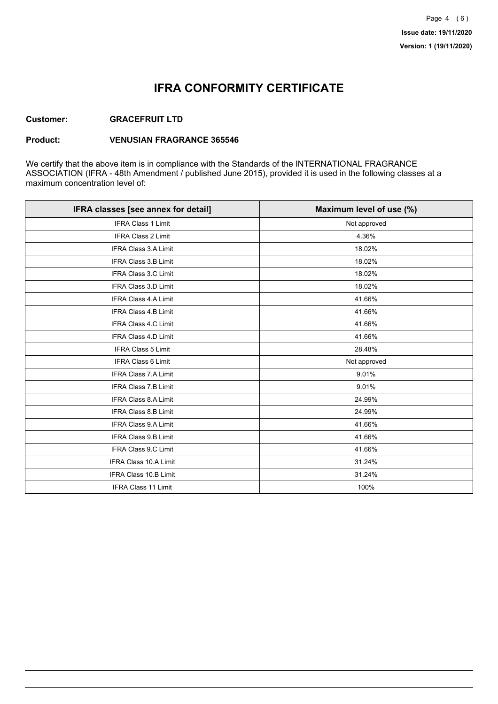## **IFRA CONFORMITY CERTIFICATE**

### **Customer: GRACEFRUIT LTD**

#### **Product: VENUSIAN FRAGRANCE 365546**

We certify that the above item is in compliance with the Standards of the INTERNATIONAL FRAGRANCE ASSOCIATION (IFRA - 48th Amendment / published June 2015), provided it is used in the following classes at a maximum concentration level of:

| IFRA classes [see annex for detail] | Maximum level of use (%) |
|-------------------------------------|--------------------------|
| <b>IFRA Class 1 Limit</b>           | Not approved             |
| <b>IFRA Class 2 Limit</b>           | 4.36%                    |
| <b>IFRA Class 3.A Limit</b>         | 18.02%                   |
| <b>IFRA Class 3.B Limit</b>         | 18.02%                   |
| <b>IFRA Class 3.C Limit</b>         | 18.02%                   |
| <b>IFRA Class 3.D Limit</b>         | 18.02%                   |
| <b>IFRA Class 4.A Limit</b>         | 41.66%                   |
| <b>IFRA Class 4.B Limit</b>         | 41.66%                   |
| <b>IFRA Class 4.C Limit</b>         | 41.66%                   |
| <b>IFRA Class 4.D Limit</b>         | 41.66%                   |
| <b>IFRA Class 5 Limit</b>           | 28.48%                   |
| <b>IFRA Class 6 Limit</b>           | Not approved             |
| <b>IFRA Class 7.A Limit</b>         | 9.01%                    |
| <b>IFRA Class 7.B Limit</b>         | 9.01%                    |
| <b>IFRA Class 8.A Limit</b>         | 24.99%                   |
| IFRA Class 8.B Limit                | 24.99%                   |
| <b>IFRA Class 9.A Limit</b>         | 41.66%                   |
| <b>IFRA Class 9.B Limit</b>         | 41.66%                   |
| <b>IFRA Class 9.C Limit</b>         | 41.66%                   |
| IFRA Class 10.A Limit               | 31.24%                   |
| IFRA Class 10.B Limit               | 31.24%                   |
| <b>IFRA Class 11 Limit</b>          | 100%                     |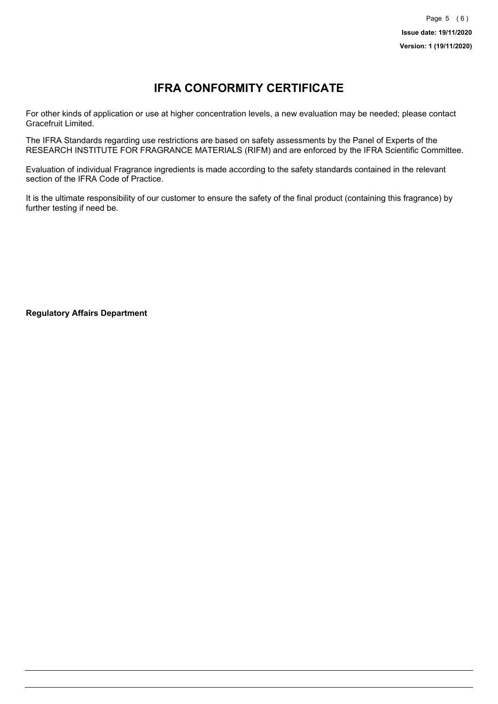# **IFRA CONFORMITY CERTIFICATE**

For other kinds of application or use at higher concentration levels, a new evaluation may be needed; please contact Gracefruit Limited.

The IFRA Standards regarding use restrictions are based on safety assessments by the Panel of Experts of the RESEARCH INSTITUTE FOR FRAGRANCE MATERIALS (RIFM) and are enforced by the IFRA Scientific Committee.

Evaluation of individual Fragrance ingredients is made according to the safety standards contained in the relevant section of the IFRA Code of Practice.

It is the ultimate responsibility of our customer to ensure the safety of the final product (containing this fragrance) by further testing if need be.

**Regulatory Affairs Department**